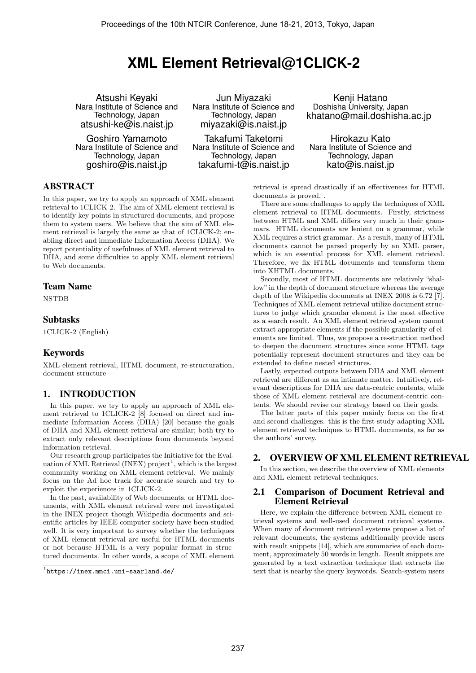# **XML Element Retrieval@1CLICK-2**

Atsushi Keyaki Nara Institute of Science and Technology, Japan atsushi-ke@is.naist.jp

Goshiro Yamamoto Nara Institute of Science and Technology, Japan goshiro@is.naist.jp

Jun Miyazaki Nara Institute of Science and Technology, Japan miyazaki@is.naist.jp

Takafumi Taketomi Nara Institute of Science and Technology, Japan takafumi-t@is.naist.jp

Kenji Hatano Doshisha University, Japan khatano@mail.doshisha.ac.jp

Hirokazu Kato Nara Institute of Science and Technology, Japan kato@is.naist.jp

# ABSTRACT

In this paper, we try to apply an approach of XML element retrieval to 1CLICK-2. The aim of XML element retrieval is to identify key points in structured documents, and propose them to system users. We believe that the aim of XML element retrieval is largely the same as that of 1CLICK-2; enabling direct and immediate Information Access (DIIA). We report potentiality of usefulness of XML element retrieval to DIIA, and some difficulties to apply XML element retrieval to Web documents.

# Team Name

NSTDB

## Subtasks

1CLICK-2 (English)

## Keywords

XML element retrieval, HTML document, re-structuration, document structure

# 1. INTRODUCTION

In this paper, we try to apply an approach of XML element retrieval to 1CLICK-2 [8] focused on direct and immediate Information Access (DIIA) [20] because the goals of DIIA and XML element retrieval are similar; both try to extract only relevant descriptions from documents beyond information retrieval.

Our research group participates the Initiative for the Evaluation of XML Retrieval (INEX)  $project^1$ , which is the largest community working on XML element retrieval. We mainly focus on the Ad hoc track for accurate search and try to exploit the experiences in 1CLICK-2.

In the past, availability of Web documents, or HTML documents, with XML element retrieval were not investigated in the INEX project though Wikipedia documents and scientific articles by IEEE computer society have been studied well. It is very important to survey whether the techniques of XML element retrieval are useful for HTML documents or not because HTML is a very popular format in structured documents. In other words, a scope of XML element retrieval is spread drastically if an effectiveness for HTML documents is proved, .

There are some challenges to apply the techniques of XML element retrieval to HTML documents. Firstly, strictness between HTML and XML differs very much in their grammars. HTML documents are lenient on a grammar, while XML requires a strict grammar. As a result, many of HTML documents cannot be parsed properly by an XML parser, which is an essential process for XML element retrieval. Therefore, we fix HTML documents and transform them into XHTML documents.

Secondly, most of HTML documents are relatively "shallow"in the depth of document structure whereas the average depth of the Wikipedia documents at INEX 2008 is 6.72 [7]. Techniques of XML element retrieval utilize document structures to judge which granular element is the most effective as a search result. An XML element retrieval system cannot extract appropriate elements if the possible granularity of elements are limited. Thus, we propose a re-struction method to deepen the document structures since some HTML tags potentially represent document structures and they can be extended to define nested structures.

Lastly, expected outputs between DIIA and XML element retrieval are different as an intimate matter. Intuitively, relevant descriptions for DIIA are data-centric contents, while those of XML element retrieval are document-centric contents. We should revise our strategy based on their goals.

The latter parts of this paper mainly focus on the first and second challenges. this is the first study adapting XML element retrieval techniques to HTML documents, as far as the authors' survey.

## 2. OVERVIEW OF XML ELEMENT RETRIEVAL

In this section, we describe the overview of XML elements and XML element retrieval techniques.

## 2.1 Comparison of Document Retrieval and Element Retrieval

Here, we explain the difference between XML element retrieval systems and well-used document retrieval systems. When many of document retrieval systems propose a list of relevant documents, the systems additionally provide users with result snippets [14], which are summaries of each document, approximately 50 words in length. Result snippets are generated by a text extraction technique that extracts the text that is nearby the query keywords. Search-system users

<sup>1</sup> https://inex.mmci.uni-saarland.de/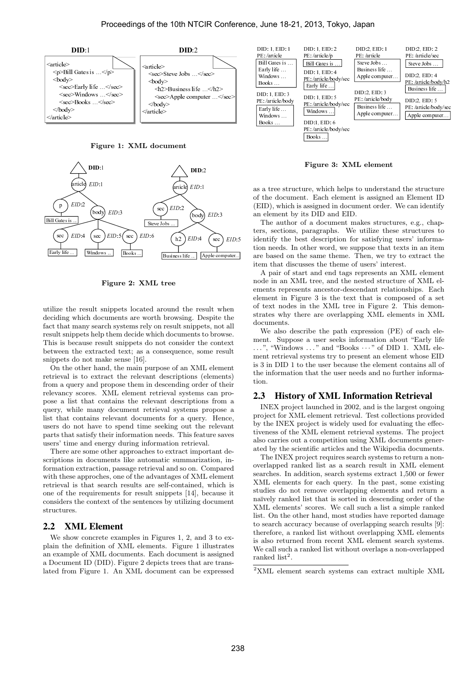

Figure 1: XML document



Figure 2: XML tree

 $sec EE\n  
\nEary life...  
\nEary life...  
\nletting w  
\neach is the  
\nresult simply  
\nthe result of a  
\nthe  
\nthe  
\nthe  
\nrelational equation  
\n $sec$$ </u> Busin<br>Steve Joseph<br>ML tree<br>Ed aroun<br>orth brown brown brown the doctor<br>a conseque of description<br>of description of the description<br>retrieval utilize the result snippets located around the result when deciding which documents are worth browsing. Despite the fact that many search systems rely on result snippets, not all result snippets help them decide which documents to browse. This is because result snippets do not consider the context between the extracted text; as a consequence, some result snippets do not make sense [16].

Figure 2: 2<br>
ilize the result snippets locations<br>
exciding which documents are<br>
ct that many search systems is<br>
sult snippets help them decid<br>
in is because result snippets<br>
tween the extracted text; as<br>
ippets do not make Example like ...<br>
Fighter ... The computer of the result suippets, not all<br>
i documents to browse.<br>
t consider the context<br>
sequence, some result<br>
see of an XML element<br>
secriptions (elements)<br>
scending order of their<br>
eva On the other hand, the main purpose of an XML element retrieval is to extract the relevant descriptions (elements) from a query and propose them in descending order of their relevancy scores. XML element retrieval systems can propose a list that contains the relevant descriptions from a query, while many document retrieval systems propose a list that contains relevant documents for a query. Hence, users do not have to spend time seeking out the relevant parts that satisfy their information needs. This feature saves users' time and energy during information retrieval.

There are some other approaches to extract important descriptions in documents like automatic summarization, information extraction, passage retrieval and so on. Compared with these approches, one of the advantages of XML element retrieval is that search results are self-contained, which is one of the requirements for result snippets [14], because it considers the context of the sentences by utilizing document structures.

# 2.2 XML Element

We show concrete examples in Figures 1, 2, and 3 to explain the definition of XML elements. Figure 1 illustrates an example of XML documents. Each document is assigned a Document ID (DID). Figure 2 depicts trees that are translated from Figure 1. An XML document can be expressed



Figure 3: XML element

as a tree structure, which helps to understand the structure of the document. Each element is assigned an Element ID (EID), which is assigned in document order. We can identify an element by its DID and EID.

PE:/article/book<br>PE:/article/book<br>Early life ...<br>Windows ...<br>Windows ...<br>Windows ...<br>Books ...<br>Books ...<br>Books ...<br>Books ...<br>Person ...<br>The auth<br>The auth<br>The auth<br>dentify the<br>ce based of ...<br>A pair of ...<br>ments ...<br>Person Early life...<br>Windows...<br>Books ...<br>Books ...<br>Books ...<br>Books ...<br>Pooks ...<br>The author<br>of the author<br>density the comment of ...<br>The author meeds. If<br>the meeds. If<br>the independent in The meets<br>lement in F<br>f text node<br>trates PE:/article/books...]<br>
DID:1, EID: 6<br>
Windows...]<br>
DID:1, EID: 6<br>
PE:/article/books...]<br>
DID:1, EID: 6<br>
PE:/article/books...]<br>
Books...]<br> **Figure 3:**<br>
The more of a docum<br>
arright descript<br>
ther word, and end the same the Business life....<br>Apple computer<br>to understa<br>t is assigned<br>to understa<br>t is assigned...<br>ankes struct<br>ankes struct<br>Then, we ture of users' interpresents are<br>represents are interpresents are<br>that is condinant relations.<br>Then PE:/article/ba<br>PE:/article/ba<br>PE:/article/ba<br>Apple computer<br>Can ident<br>can ident<br>can ident<br>Sings in an ite<br>Of XML<br>Ships. Eased of a s<br>Philips in an ite<br>Sead of a s<br>This demonstrate in Share<br>Ships. Eased of a s The author of a document makes structures, e.g., chapters, sections, paragraphs. We utilize these structures to identify the best description for satisfying users' information needs. In other word, we suppose that texts in an item are based on the same theme. Then, we try to extract the item that discusses the theme of users' interest.

Figure<br>Figure ...<br>Back ...<br>Books DID<br>a doc aragraphed ...<br>a same ...<br>a same ...<br>Books ...<br>a user ...<br>a user ...<br>a user ...<br>a user ... windows...<br>Windows...<br>Books...<br>Books...<br>Books...<br>Books...<br>Pooks...<br>Pooks...<br>Pooks...<br>Pooks...<br>Pooks...<br>Pooks...<br>Pooks...<br>Pooks...<br>Pooks...<br>Pooks...<br>Pooks...<br>Pooks...<br>Pooks....<br>Pooks....<br>Pooks....<br>Pooks....<br>Pooks...........  $\frac{1}{\text{Books}}$  ...<br>Books ...<br>Books ...<br> $\frac{1}{\text{Books}}$  ...<br> $\frac{1}{\text{SOD}}$ , which enters, section<br>entify the and A pair conduments represent in<br>the section occurrent is exponent in the section occurrent<br>occurrent is text no cond is a tree if the difference in the difference of the algebra in the set of the set of the set of the set of the set of the set of the set of the set of the set of the set of the set of the set of the set of the set of the MINITED:<br>
DID:1, EID:<br>
<u>E:/article</u>/books...]<br>
Books...]<br>
Figure 3<br>
re, which<br>
Each e same is a docurar<br>
aragraph descrip<br>
her word<br>
ses the tl and end exception<br>
aragraph descrip<br>
a same that are a same that a same 3 is t Windows...)<br>
DID:1, EID: 6<br>
PE: /article/body/sec<br>
Books...)<br> **Figure 3: X**<br> **Figure 3: X**<br> **Figure 3: X**<br> **Figure 3: X**<br> **Figure 3: X**<br> **Figure 3: X**<br> **Figure 3: X**<br> **Figure 4:** The Books University Apple 1<br> **Figure 1:** W PE:/article/bo<br>PE:/article/bo<br>Books...)<br>Didderset and the sassigned in<br>the assigned in a docum<br>paragraph:<br>t descript a docum<br>paragraph:<br>t descript the word<br>e same the the ancest<br>t and end to tree, and<br>the same 3 is the XM<br> Books...<br>
Figure 3: XI<br>
Ire, which help<br>
t. Each eleme<br>
assigned in doot<br>
ts DID and EI<br>
f a document<br>
st description<br>
ther word, we<br>
e same theme<br>
e same theme<br>
t and end tag<br>
L tree, and the<br>
ts ancestor-de<br>
ire 3 is the Apple computer<br>
Le element<br>
to understa<br>
is assigned<br>
ment order.<br>
akes struct<br>
utilize the<br>
r satisfying<br>
ppose that<br>
Fhen, we tr<br>
in egress interpresents a<br>
cested struct<br>
chat is con<br>
in Figure<br>
ML el<br>
mg XML el L element<br>
to understand<br>
is assigned a<br>
is assigned a<br>
ment order. V<br>
utilize these<br>
r satisfying a<br>
ppose that tt<br>
r phent term<br>
f users' interesting a<br>
ested structured<br>
endant relati<br>
that is com<br>
in Figure 2.<br>
(NL ele e structure<br>
Element ID<br>
can identify<br>
e.g., chap-<br>
ructures to<br>
s' informa-<br>
sin an item<br>
extract the<br>
ML element<br>
of XML el-<br>
hips. Each<br>
this demon-<br>
this demon-<br>
this demon-<br>
this demon-<br>
this demon-<br>
of each element Apple computer....<br>
he structure<br>
Element ID<br>
can identify<br>
i, e.g., chap-<br>
tructures to<br>
sis in an item<br>
extract the<br>
.<br>
ML element<br>
.<br>
of XML el-<br>
sed of a set<br>
This demon-<br>
nts in XML<br>
ML for Sach<br>
Sed of a set<br>
This de A pair of start and end tags represents an XML element node in an XML tree, and the nested structure of XML elements represents ancestor-descendant relationships. Each element in Figure 3 is the text that is composed of a set of text nodes in the XML tree in Figure 2. This demonstrates why there are overlapping XML elements in XML documents.

We also describe the path expression (PE) of each element. Suppose a user seeks information about "Early life . . . ", "Windows . . . " and "Books · · · " of DID 1. XML element retrieval systems try to present an element whose EID is 3 in DID 1 to the user because the element contains all of the information that the user needs and no further information.

#### 2.3 History of XML Information Retrieval

INEX project launched in 2002, and is the largest ongoing project for XML element retrieval. Test collections provided by the INEX project is widely used for evaluating the effectiveness of the XML element retrieval systems. The project also carries out a competition using XML documents generated by the scientific articles and the Wikipedia documents.

The INEX project requires search systems to return a nonoverlapped ranked list as a search result in XML element searches. In addition, search systems extract 1,500 or fewer XML elements for each query. In the past, some existing studies do not remove overlapping elements and return a naïvely ranked list that is sorted in descending order of the XML elements' scores. We call such a list a simple ranked list. On the other hand, most studies have reported damage to search accuracy because of overlapping search results [9]: therefore, a ranked list without overlapping XML elements is also returned from recent XML element search systems. We call such a ranked list without overlaps a non-overlapped ranked  $list^2$ .

<sup>2</sup>XML element search systems can extract multiple XML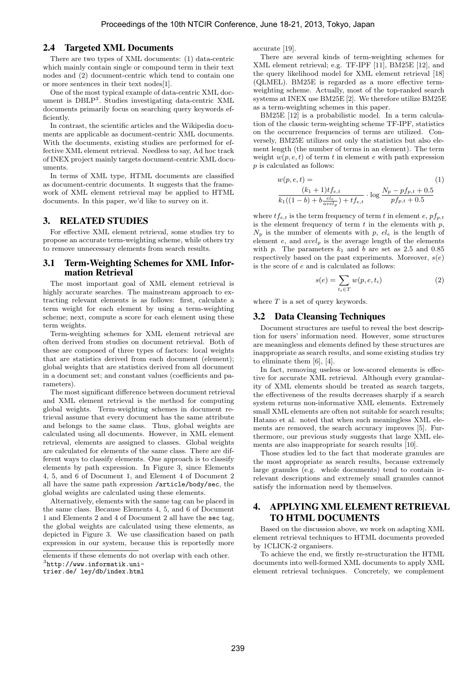# 2.4 Targeted XML Documents

There are two types of XML documents: (1) data-centric which mainly contain single or compound term in their text nodes and (2) document-centric which tend to contain one or more sentences in their text nodes[1].

One of the most typical example of data-centric XML document is DBLP<sup>3</sup> . Studies investigating data-centric XML documents primarily focus on searching query keywords efficiently.

In contrast, the scientific articles and the Wikipedia documents are applicable as document-centric XML documents. With the documents, existing studies are performed for effective XML element retrieval. Needless to say, Ad hoc track of INEX project mainly targets document-centric XML docuuments.

In terms of XML type, HTML documents are classified as document-centric documents. It suggests that the framework of XML element retrieval may be applied to HTML documents. In this paper, we'd like to survey on it.

#### 3. RELATED STUDIES

For effective XML element retrieval, some studies try to propose an accurate term-weighting scheme, while others try to remove unnecessary elements from search results.

# 3.1 Term-Weighting Schemes for XML Information Retrieval

The most important goal of XML element retrieval is highly accurate searches. The mainstream approach to extracting relevant elements is as follows: first, calculate a term weight for each element by using a term-weighting scheme; next, compute a score for each element using these term weights.

Term-weighting schemes for XML element retrieval are often derived from studies on document retrieval. Both of these are composed of three types of factors: local weights that are statistics derived from each document (element); global weights that are statistics derived from all document in a document set; and constant values (coefficients and parameters).

The most significant difference between document retrieval and XML element retrieval is the method for computing global weights. Term-weighting schemes in document retrieval assume that every document has the same attribute and belongs to the same class. Thus, global weights are calculated using all documents. However, in XML element retrieval, elements are assigned to classes. Global weights are calculated for elements of the same class. There are different ways to classify elements. One approach is to classify elements by path expression. In Figure 3, since Elements 4, 5, and 6 of Document 1, and Element 4 of Document 2 all have the same path expression /article/body/sec, the global weights are calculated using these elements.

Alternatively, elements with the same tag can be placed in the same class. Because Elements 4, 5, and 6 of Document 1 and Elements 2 and 4 of Document 2 all have the sec tag, the global weights are calculated using these elements, as depicted in Figure 3. We use classification based on path expression in our system, because this is reportedly more accurate [19].

There are several kinds of term-weighting schemes for XML element retrieval; e.g. TF-IPF [11], BM25E [12], and the query likelihood model for XML element retrieval [18] (QLMEL). BM25E is regarded as a more effective termweighting scheme. Actually, most of the top-ranked search systems at INEX use BM25E [2]. We therefore utilize BM25E as a term-weighting schemes in this paper.

BM25E [12] is a probabilistic model. In a term calculation of the classic term-weighting scheme TF-IPF, statistics on the occurrence frequencies of terms are utilized. Conversely, BM25E utilizes not only the statistics but also element length (the number of terms in an element). The term weight  $w(p, e, t)$  of term t in element e with path expression p is calculated as follows:

$$
w(p, e, t) =
$$
  
\n
$$
\frac{(k_1 + 1)t f_{e,t}}{k_1((1 - b) + b \frac{e l_e}{ave l_p}) + t f_{e,t}} \cdot \log \frac{N_p - pf_{p,t} + 0.5}{pf_{p,t} + 0.5}
$$
\n(1)

where  $tf_{e,t}$  is the term frequency of term t in element e,  $pf_{p,t}$ is the element frequency of term  $t$  in the elements with  $p$ ,  $N_p$  is the number of elements with p,  $el_e$  is the length of element  $e$ , and  $avel<sub>p</sub>$  is the average length of the elements with p. The parameters  $k_1$  and b are set as 2.5 and 0.85 respectively based on the past experiments. Moreover,  $s(e)$ is the score of e and is calculated as follows:

$$
s(e) = \sum_{t_i \in T} w(p, e, t_i)
$$
 (2)

where  $T$  is a set of query keywords.

#### 3.2 Data Cleansing Techniques

Document structures are useful to reveal the best description for users' information need. However, some structures are meaningless and elements defined by these structures are inappropriate as search results, and some existing studies try to eliminate them [6], [4].

In fact, removing useless or low-scored elements is effective for accurate XML retrieval. Although every granularity of XML elements should be treated as search targets, the effectiveness of the results decreases sharply if a search system returns non-informative XML elements. Extremely small XML elements are often not suitable for search results; Hatano et al. noted that when such meaningless XML elements are removed, the search accuracy improves [5]. Furthermore, our previous study suggests that large XML elements are also inappropriate for search results [10].

Those studies led to the fact that moderate granules are the most appropriate as search results, because extremely large granules (e.g. whole documents) tend to contain irrelevant descriptions and extremely small granules cannot satisfy the information need by themselves.

# 4. APPLYING XML ELEMENT RETRIEVAL TO HTML DOCUMENTS

Based on the discussion above, we work on adapting XML element retrieval techniques to HTML documents proveded by 1CLICK-2 organisers.

To achieve the end, we firstly re-structuration the HTML documents into well-formed XML documents to apply XML element retrieval techniques. Concretely, we complement

elements if these elements do not overlap with each other.

<sup>3</sup> http://www.informatik.uni-

trier.de/ ley/db/index.html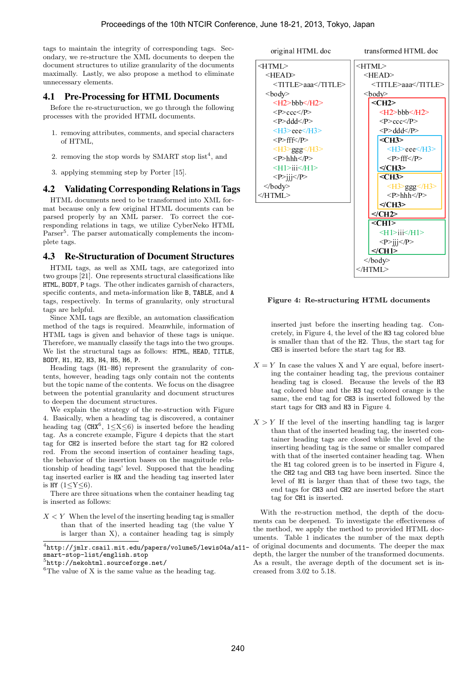tags to maintain the integrity of corresponding tags. Secondary, we re-structure the XML documents to deepen the document structures to utilize granularity of the documents maximally. Lastly, we also propose a method to eliminate unnecessary elements.

# 4.1 Pre-Processing for HTML Documents

Before the re-structuruction, we go through the following processes with the provided HTML documents.

- 1. removing attributes, comments, and special characters of HTML,
- 2. removing the stop words by SMART stop  $list^4$ , and
- 3. applying stemming step by Porter [15].

# 4.2 Validating Corresponding Relations in Tags

HTML documents need to be transformed into XML format because only a few original HTML documents can be parsed properly by an XML parser. To correct the corresponding relations in tags, we utilize CyberNeko HTML Parser<sup>5</sup>. The parser automatically complements the incomplete tags.

## 4.3 Re-Structuration of Document Structures

HTML tags, as well as XML tags, are categorized into two groups [21]. One represents structural classifications like HTML, BODY, P tags. The other indicates garnish of characters, specific contents, and meta-information like B, TABLE, and A tags, respectively. In terms of granularity, only structural tags are helpful.

Since XML tags are flexible, an automation classification method of the tags is required. Meanwhile, information of HTML tags is given and behavior of these tags is unique. Therefore, we manually classify the tags into the two groups. We list the structural tags as follows: HTML, HEAD, TITLE, BODY, H1, H2, H3, H4, H5, H6, P.

Heading tags (H1–H6) represent the granularity of contents, however, heading tags only contain not the contents but the topic name of the contents. We focus on the disagree between the potential granularity and document structures to deepen the document structures.

We explain the strategy of the re-struction with Figure 4. Basically, when a heading tag is discovered, a container heading tag (CHX<sup>6</sup>,  $1 \le X \le 6$ ) is inserted before the heading tag. As a concrete example, Figure 4 depicts that the start tag for CH2 is inserted before the start tag for H2 colored red. From the second insertion of container heading tags, the behavior of the insertion bases on the magnitude relationship of heading tags' level. Supposed that the heading tag inserted earlier is HX and the heading tag inserted later is HY  $(1 < Y < 6)$ .

There are three situations when the container heading tag is inserted as follows:

 $X \leq Y$  When the level of the inserting heading tag is smaller than that of the inserted heading tag (the value Y is larger than X), a container heading tag is simply

 $^4$ http://jmlr.csail.mit.edu/papers/volume5/lewis04a/a11smart-stop-list/english.stop

#### original HTML doc transformed HTML doc



## Figure 4: Re-structuring HTML documents

inserted just before the inserting heading tag. Concretely, in Figure 4, the level of the H3 tag colored blue is smaller than that of the H2. Thus, the start tag for CH3 is inserted before the start tag for H3.

- $X = Y$  In case the values X and Y are equal, before inserting the container heading tag, the previous container heading tag is closed. Because the levels of the H3 tag colored blue and the H3 tag colored orange is the same, the end tag for CH3 is inserted followed by the start tags for CH3 and H3 in Figure 4.
- $X > Y$  If the level of the inserting handling tag is larger than that of the inserted heading tag, the inserted container heading tags are closed while the level of the inserting heading tag is the same or smaller compared with that of the inserted container heading tag. When the H1 tag colored green is to be inserted in Figure 4, the CH2 tag and CH3 tag have been inserted. Since the level of H1 is larger than that of these two tags, the end tags for CH3 and CH2 are inserted before the start tag for CH1 is inserted.

With the re-struction method, the depth of the documents can be deepened. To investigate the effectiveness of the method, we apply the method to provided HTML documents. Table 1 indicates the number of the max depth of original documents and documents. The deeper the max depth, the larger the number of the transformed documents. As a result, the average depth of the document set is increased from 3.02 to 5.18.

<sup>5</sup> http://nekohtml.sourceforge.net/

 ${}^{6}$ The value of X is the same value as the heading tag.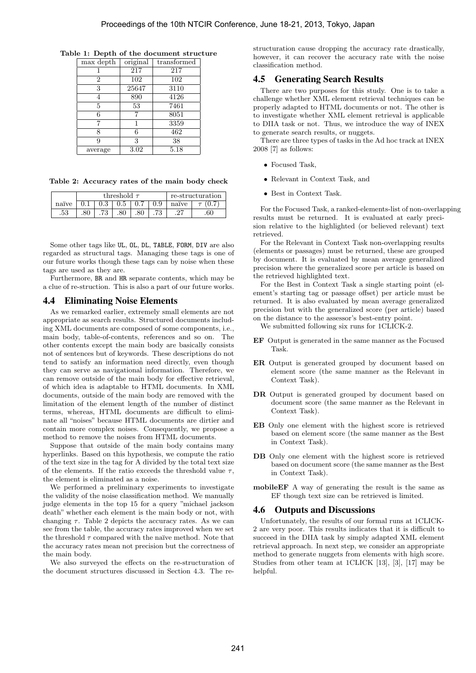| Table 1: Depth of the document structure |  |
|------------------------------------------|--|
|------------------------------------------|--|

| max depth      | original | transformed |
|----------------|----------|-------------|
|                | 217      | 217         |
| $\overline{2}$ | 102      | 102         |
| 3              | 25647    | 3110        |
|                | 890      | 4126        |
| 5              | 53       | 7461        |
| 6              |          | 8051        |
| 7              |          | 3359        |
| 8              | 6        | 462         |
| 9              | 3        | 38          |
| average        | $3.02\,$ | 5.18        |

Table 2: Accuracy rates of the main body check

|       | threshold $\tau$ |           |  |  |     |       | re-structuration |
|-------|------------------|-----------|--|--|-----|-------|------------------|
| naïve |                  | $\rm 0.3$ |  |  | 0.9 | naïve |                  |
| .53   |                  |           |  |  |     | ാ~    | 60               |

Some other tags like UL, OL, DL, TABLE, FORM, DIV are also regarded as structural tags. Managing these tags is one of our future works though these tags can by noise when these tags are used as they are.

Furthermore, BR and HR separate contents, which may be a clue of re-struction. This is also a part of our future works.

# 4.4 Eliminating Noise Elements

As we remarked earlier, extremely small elements are not appropriate as search results. Structured documents including XML documents are composed of some components, i.e., main body, table-of-contents, references and so on. The other contents except the main body are basically consists not of sentences but of keywords. These descriptions do not tend to satisfy an information need directly, even though they can serve as navigational information. Therefore, we can remove outside of the main body for effective retrieval, of which idea is adaptable to HTML documents. In XML documents, outside of the main body are removed with the limitation of the element length of the number of distinct terms, whereas, HTML documents are difficult to eliminate all "noises" because HTML documents are dirtier and contain more complex noises. Consequently, we propose a method to remove the noises from HTML documents.

Suppose that outside of the main body contains many hyperlinks. Based on this hypothesis, we compute the ratio of the text size in the tag for A divided by the total text size of the elements. If the ratio exceeds the threshold value  $\tau$ , the element is eliminated as a noise.

We performed a preliminary experiments to investigate the validity of the noise classification method. We manually judge elements in the top 15 for a query "michael jackson death" whether each element is the main body or not, with changing  $\tau$ . Table 2 depicts the accuracy rates. As we can see from the table, the accuracy rates improved when we set the threshold  $\tau$  compared with the naïve method. Note that the accuracy rates mean not precision but the correctness of the main body.

We also surveyed the effects on the re-structuration of the document structures discussed in Section 4.3. The restructuration cause dropping the accuracy rate drastically, however, it can recover the accuracy rate with the noise classification method.

#### 4.5 Generating Search Results

There are two purposes for this study. One is to take a challenge whether XML element retrieval techniques can be properly adapted to HTML documents or not. The other is to investigate whether XML element retrieval is applicable to DIIA task or not. Thus, we introduce the way of INEX to generate search results, or nuggets.

There are three types of tasks in the Ad hoc track at INEX 2008 [7] as follows:

- Focused Task,
- Relevant in Context Task, and
- Best in Context Task.

For the Focused Task, a ranked-elements-list of non-overlapping results must be returned. It is evaluated at early precision relative to the highlighted (or believed relevant) text retrieved.

For the Relevant in Context Task non-overlapping results (elements or passages) must be returned, these are grouped by document. It is evaluated by mean average generalized precision where the generalized score per article is based on the retrieved highlighted text.

For the Best in Context Task a single starting point (element's starting tag or passage offset) per article must be returned. It is also evaluated by mean average generalized precision but with the generalized score (per article) based on the distance to the assessor's best-entry point.

We submitted following six runs for 1CLICK-2.

- EF Output is generated in the same manner as the Focused Task.
- ER Output is generated grouped by document based on element score (the same manner as the Relevant in Context Task).
- DR Output is generated grouped by document based on document score (the same manner as the Relevant in Context Task).
- EB Only one element with the highest score is retrieved based on element score (the same manner as the Best in Context Task).
- DB Only one element with the highest score is retrieved based on document score (the same manner as the Best in Context Task).
- mobileEF A way of generating the result is the same as EF though text size can be retrieved is limited.

# 4.6 Outputs and Discussions

Unfortunately, the results of our formal runs at 1CLICK-2 are very poor. This results indicates that it is difficult to succeed in the DIIA task by simply adapted XML element retrieval approach. In next step, we consider an appropriate method to generate nuggets from elements with high score. Studies from other team at 1CLICK [13], [3], [17] may be helpful.